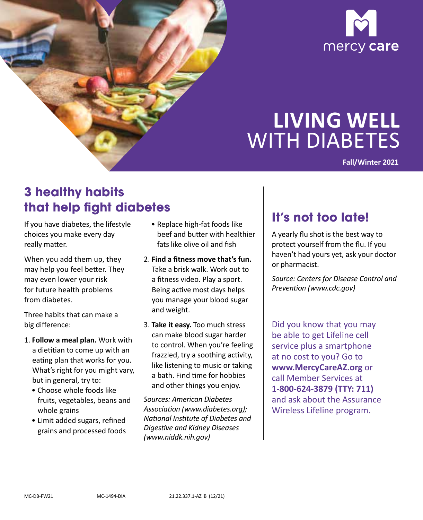



# **LIVING WELL**  WITH DIABETES

**Fall/Winter 2021** 

# **3 healthy habits that help fight diabetes**

If you have diabetes, the lifestyle choices you make every day really matter.

When you add them up, they may help you feel better. They may even lower your risk for future health problems from diabetes.

Three habits that can make a big difference:

- 1. **Follow a meal plan.** Work with a dietitian to come up with an eating plan that works for you. What's right for you might vary, but in general, try to:
	- • Choose whole foods like fruits, vegetables, beans and whole grains
	- •  Limit added sugars, refined grains and processed foods
- fats like olive oil and fish • Replace high-fat foods like beef and butter with healthier
- 2. **Find a fitness move that's fun.**  Take a brisk walk. Work out to a fitness video. Play a sport. Being active most days helps you manage your blood sugar and weight.
- 3. **Take it easy.** Too much stress can make blood sugar harder to control. When you're feeling frazzled, try a soothing activity, like listening to music or taking a bath. Find time for hobbies and other things you enjoy.

*Sources: American Diabetes Association (www.diabetes.org); National Institute of Diabetes and Digestive and Kidney Diseases (www.niddk.nih.gov)* 

### **It's not too late!**

A yearly flu shot is the best way to protect yourself from the flu. If you haven't had yours yet, ask your doctor or pharmacist.

*Source: Centers for Disease Control and Prevention (www.cdc.gov)* 

Did you know that you may be able to get Lifeline cell service plus a smartphone at no cost to you? Go to **www.MercyCareAZ.org** or call Member Services at **1-800-624-3879 (TTY: 711)**  and ask about the Assurance Wireless Lifeline program.